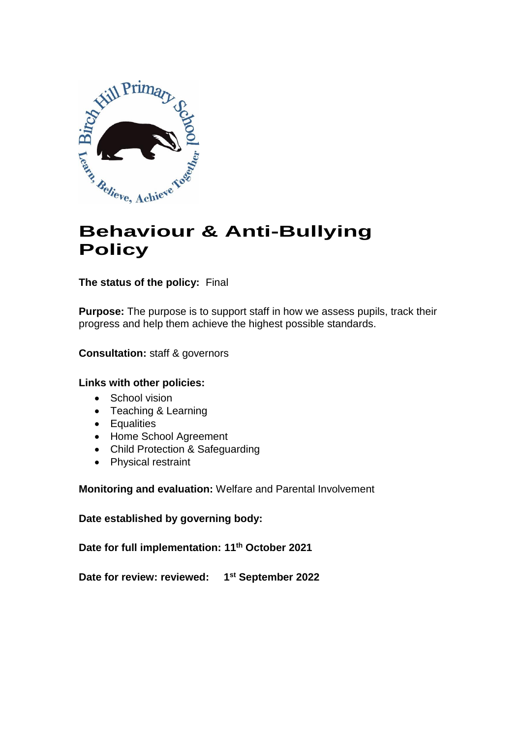

# **Behaviour & Anti-Bullying Policy**

**The status of the policy:** Final

**Purpose:** The purpose is to support staff in how we assess pupils, track their progress and help them achieve the highest possible standards.

**Consultation:** staff & governors

#### **Links with other policies:**

- School vision
- Teaching & Learning
- Equalities
- Home School Agreement
- Child Protection & Safeguarding
- Physical restraint

**Monitoring and evaluation:** Welfare and Parental Involvement

**Date established by governing body:** 

**Date for full implementation: 11th October 2021**

**Date for review: reviewed: 1 st September 2022**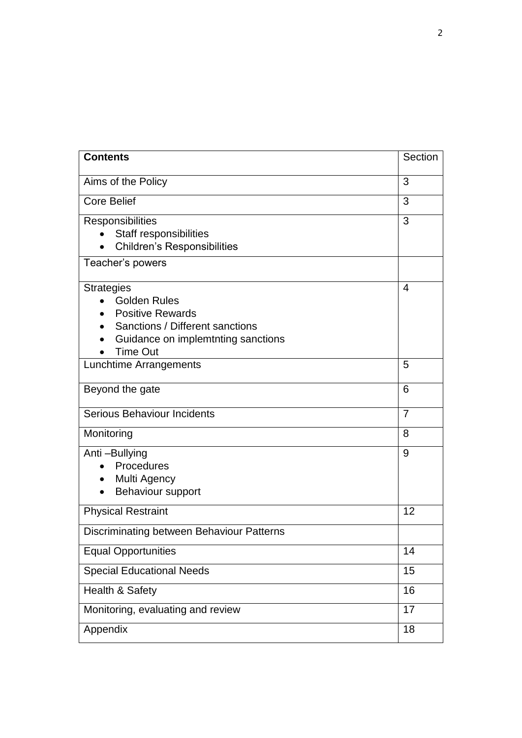| <b>Contents</b>                                                                                                                                                 | Section        |
|-----------------------------------------------------------------------------------------------------------------------------------------------------------------|----------------|
| Aims of the Policy                                                                                                                                              | 3              |
| Core Belief                                                                                                                                                     | 3              |
| Responsibilities<br>Staff responsibilities<br><b>Children's Responsibilities</b>                                                                                | 3              |
| Teacher's powers                                                                                                                                                |                |
| <b>Strategies</b><br><b>Golden Rules</b><br><b>Positive Rewards</b><br>Sanctions / Different sanctions<br>Guidance on implemtnting sanctions<br><b>Time Out</b> | 4              |
| Lunchtime Arrangements                                                                                                                                          | 5              |
| Beyond the gate                                                                                                                                                 | 6              |
| <b>Serious Behaviour Incidents</b>                                                                                                                              | $\overline{7}$ |
| Monitoring                                                                                                                                                      | 8              |
| Anti-Bullying<br>Procedures<br>Multi Agency<br>Behaviour support                                                                                                | 9              |
| <b>Physical Restraint</b>                                                                                                                                       | 12             |
| Discriminating between Behaviour Patterns                                                                                                                       |                |
| <b>Equal Opportunities</b>                                                                                                                                      | 14             |
| <b>Special Educational Needs</b>                                                                                                                                | 15             |
| Health & Safety                                                                                                                                                 | 16             |
| Monitoring, evaluating and review                                                                                                                               |                |
| Appendix                                                                                                                                                        |                |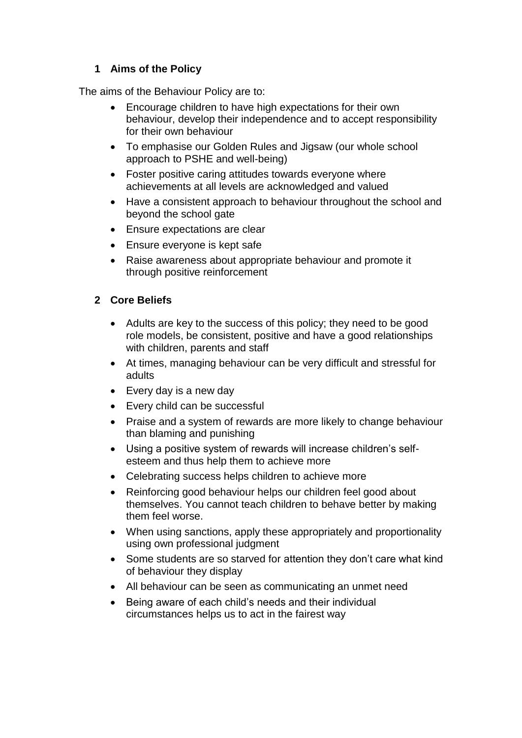# **1 Aims of the Policy**

The aims of the Behaviour Policy are to:

- Encourage children to have high expectations for their own behaviour, develop their independence and to accept responsibility for their own behaviour
- To emphasise our Golden Rules and Jigsaw (our whole school approach to PSHE and well-being)
- Foster positive caring attitudes towards everyone where achievements at all levels are acknowledged and valued
- Have a consistent approach to behaviour throughout the school and beyond the school gate
- Ensure expectations are clear
- Ensure everyone is kept safe
- Raise awareness about appropriate behaviour and promote it through positive reinforcement

# **2 Core Beliefs**

- Adults are key to the success of this policy; they need to be good role models, be consistent, positive and have a good relationships with children, parents and staff
- At times, managing behaviour can be very difficult and stressful for adults
- Every day is a new day
- Every child can be successful
- Praise and a system of rewards are more likely to change behaviour than blaming and punishing
- Using a positive system of rewards will increase children's selfesteem and thus help them to achieve more
- Celebrating success helps children to achieve more
- Reinforcing good behaviour helps our children feel good about themselves. You cannot teach children to behave better by making them feel worse.
- When using sanctions, apply these appropriately and proportionality using own professional judgment
- Some students are so starved for attention they don't care what kind of behaviour they display
- All behaviour can be seen as communicating an unmet need
- Being aware of each child's needs and their individual circumstances helps us to act in the fairest way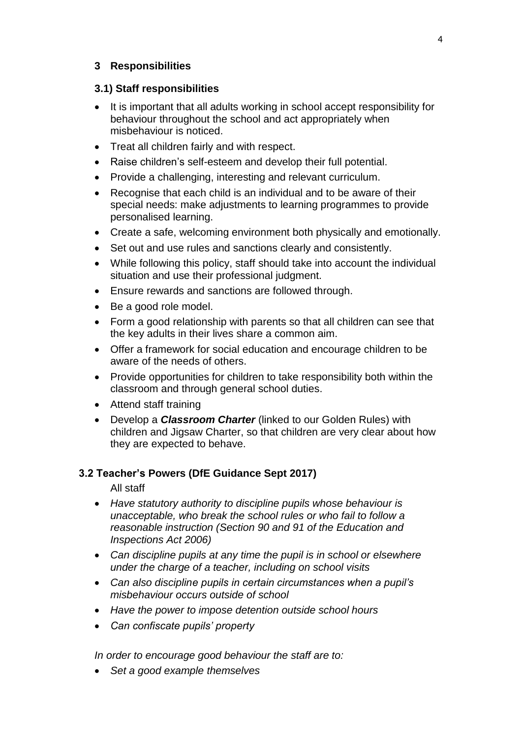#### **3 Responsibilities**

#### **3.1) Staff responsibilities**

- It is important that all adults working in school accept responsibility for behaviour throughout the school and act appropriately when misbehaviour is noticed.
- Treat all children fairly and with respect.
- Raise children's self-esteem and develop their full potential.
- Provide a challenging, interesting and relevant curriculum.
- Recognise that each child is an individual and to be aware of their special needs: make adjustments to learning programmes to provide personalised learning.
- Create a safe, welcoming environment both physically and emotionally.
- Set out and use rules and sanctions clearly and consistently.
- While following this policy, staff should take into account the individual situation and use their professional judgment.
- Ensure rewards and sanctions are followed through.
- Be a good role model.
- Form a good relationship with parents so that all children can see that the key adults in their lives share a common aim.
- Offer a framework for social education and encourage children to be aware of the needs of others.
- Provide opportunities for children to take responsibility both within the classroom and through general school duties.
- Attend staff training
- Develop a *Classroom Charter* (linked to our Golden Rules) with children and Jigsaw Charter, so that children are very clear about how they are expected to behave.

#### **3.2 Teacher's Powers (DfE Guidance Sept 2017)**

All staff

- *Have statutory authority to discipline pupils whose behaviour is unacceptable, who break the school rules or who fail to follow a reasonable instruction (Section 90 and 91 of the Education and Inspections Act 2006)*
- *Can discipline pupils at any time the pupil is in school or elsewhere under the charge of a teacher, including on school visits*
- *Can also discipline pupils in certain circumstances when a pupil's misbehaviour occurs outside of school*
- *Have the power to impose detention outside school hours*
- *Can confiscate pupils' property*

*In order to encourage good behaviour the staff are to:*

*Set a good example themselves*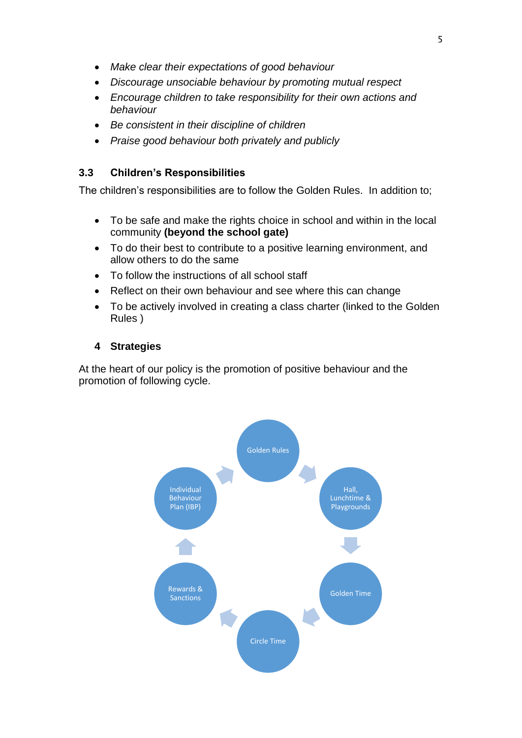- *Make clear their expectations of good behaviour*
- *Discourage unsociable behaviour by promoting mutual respect*
- *Encourage children to take responsibility for their own actions and behaviour*
- *Be consistent in their discipline of children*
- *Praise good behaviour both privately and publicly*

# **3.3 Children's Responsibilities**

The children's responsibilities are to follow the Golden Rules. In addition to;

- To be safe and make the rights choice in school and within in the local community **(beyond the school gate)**
- To do their best to contribute to a positive learning environment, and allow others to do the same
- To follow the instructions of all school staff
- Reflect on their own behaviour and see where this can change
- To be actively involved in creating a class charter (linked to the Golden Rules )

# **4 Strategies**

At the heart of our policy is the promotion of positive behaviour and the promotion of following cycle.

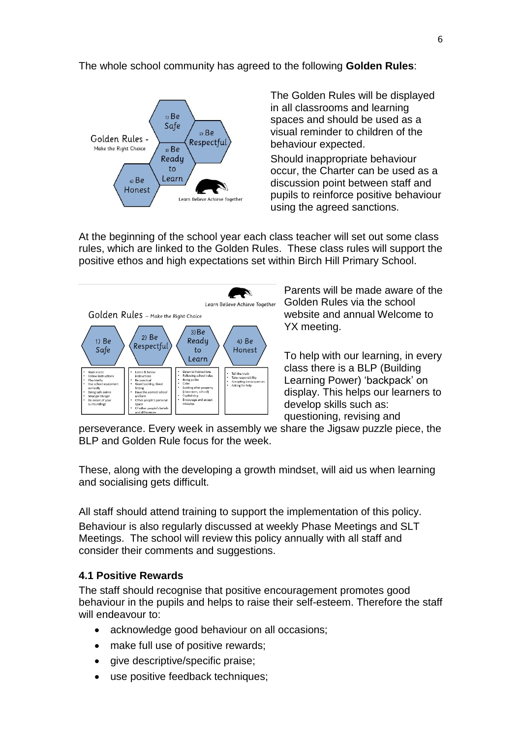#### The whole school community has agreed to the following **Golden Rules**:



The Golden Rules will be displayed in all classrooms and learning spaces and should be used as a visual reminder to children of the behaviour expected.

Should inappropriate behaviour occur, the Charter can be used as a discussion point between staff and pupils to reinforce positive behaviour using the agreed sanctions.

At the beginning of the school year each class teacher will set out some class rules, which are linked to the Golden Rules. These class rules will support the positive ethos and high expectations set within Birch Hill Primary School.



Parents will be made aware of the Golden Rules via the school website and annual Welcome to YX meeting.

To help with our learning, in every class there is a BLP (Building Learning Power) 'backpack' on display. This helps our learners to develop skills such as: questioning, revising and

perseverance. Every week in assembly we share the Jigsaw puzzle piece, the BLP and Golden Rule focus for the week.

These, along with the developing a growth mindset, will aid us when learning and socialising gets difficult.

All staff should attend training to support the implementation of this policy. Behaviour is also regularly discussed at weekly Phase Meetings and SLT Meetings. The school will review this policy annually with all staff and consider their comments and suggestions.

#### **4.1 Positive Rewards**

The staff should recognise that positive encouragement promotes good behaviour in the pupils and helps to raise their self-esteem. Therefore the staff will endeavour to:

- acknowledge good behaviour on all occasions;
- make full use of positive rewards;
- give descriptive/specific praise;
- use positive feedback techniques;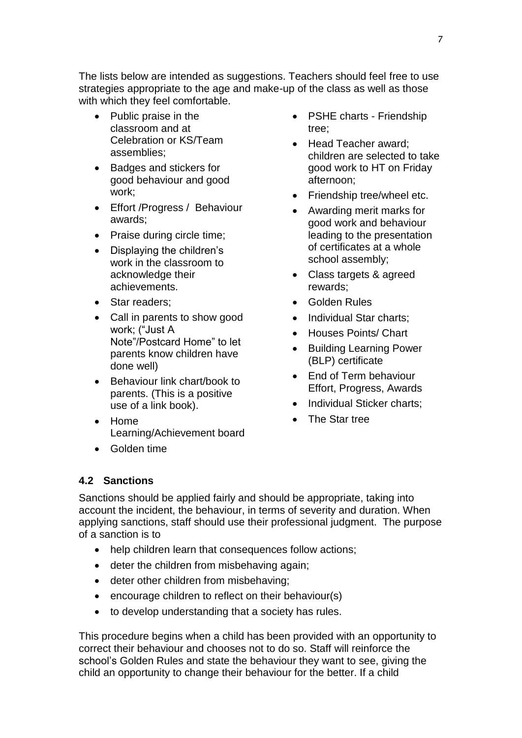The lists below are intended as suggestions. Teachers should feel free to use strategies appropriate to the age and make-up of the class as well as those with which they feel comfortable.

- Public praise in the classroom and at Celebration or KS/Team assemblies;
- Badges and stickers for good behaviour and good work;
- Effort /Progress / Behaviour awards;
- Praise during circle time;
- Displaying the children's work in the classroom to acknowledge their achievements.
- Star readers;
- Call in parents to show good work; ("Just A Note"/Postcard Home" to let parents know children have done well)
- Behaviour link chart/book to parents. (This is a positive use of a link book).
- Home Learning/Achievement board
- **•** Golden time

#### • PSHE charts - Friendship tree;

- Head Teacher award: children are selected to take good work to HT on Friday afternoon;
- Friendship tree/wheel etc.
- Awarding merit marks for good work and behaviour leading to the presentation of certificates at a whole school assembly;
- Class targets & agreed rewards;
- Golden Rules
- Individual Star charts;
- Houses Points/ Chart
- Building Learning Power (BLP) certificate
- End of Term behaviour Effort, Progress, Awards
- Individual Sticker charts;
- The Star tree

#### **4.2 Sanctions**

Sanctions should be applied fairly and should be appropriate, taking into account the incident, the behaviour, in terms of severity and duration. When applying sanctions, staff should use their professional judgment. The purpose of a sanction is to

- help children learn that consequences follow actions;
- deter the children from misbehaving again;
- deter other children from misbehaving;
- encourage children to reflect on their behaviour(s)
- to develop understanding that a society has rules.

This procedure begins when a child has been provided with an opportunity to correct their behaviour and chooses not to do so. Staff will reinforce the school's Golden Rules and state the behaviour they want to see, giving the child an opportunity to change their behaviour for the better. If a child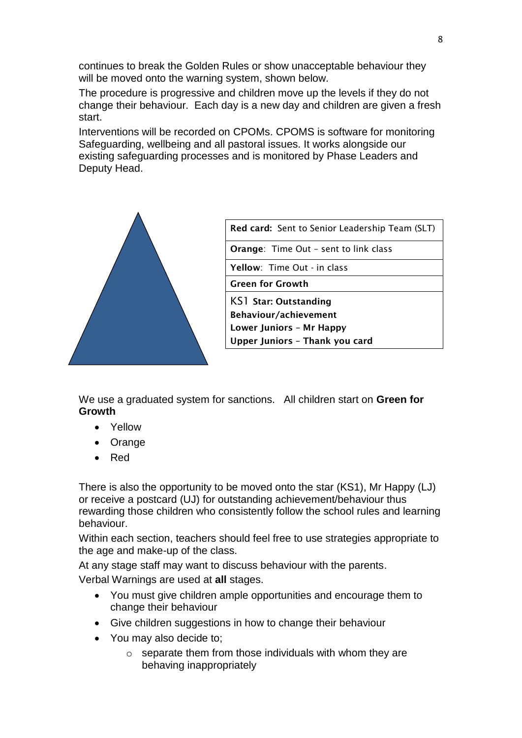continues to break the Golden Rules or show unacceptable behaviour they will be moved onto the warning system, shown below.

The procedure is progressive and children move up the levels if they do not change their behaviour. Each day is a new day and children are given a fresh start.

Interventions will be recorded on CPOMs. CPOMS is software for monitoring Safeguarding, wellbeing and all pastoral issues. It works alongside our existing safeguarding processes and is monitored by Phase Leaders and Deputy Head.



| <b>Red card:</b> Sent to Senior Leadership Team (SLT) |  |
|-------------------------------------------------------|--|
| <b>Orange:</b> Time Out - sent to link class          |  |
| <b>Yellow:</b> Time Out - in class                    |  |
| <b>Green for Growth</b>                               |  |
| KS1 Star: Outstanding                                 |  |
| Behaviour/achievement                                 |  |
| <b>Lower Juniors - Mr Happy</b>                       |  |
| Upper Juniors - Thank you card                        |  |

We use a graduated system for sanctions. All children start on **Green for Growth**

- Yellow
- Orange
- Red

There is also the opportunity to be moved onto the star (KS1), Mr Happy (LJ) or receive a postcard (UJ) for outstanding achievement/behaviour thus rewarding those children who consistently follow the school rules and learning behaviour.

Within each section, teachers should feel free to use strategies appropriate to the age and make-up of the class.

At any stage staff may want to discuss behaviour with the parents.

Verbal Warnings are used at **all** stages.

- You must give children ample opportunities and encourage them to change their behaviour
- Give children suggestions in how to change their behaviour
- You may also decide to;
	- $\circ$  separate them from those individuals with whom they are behaving inappropriately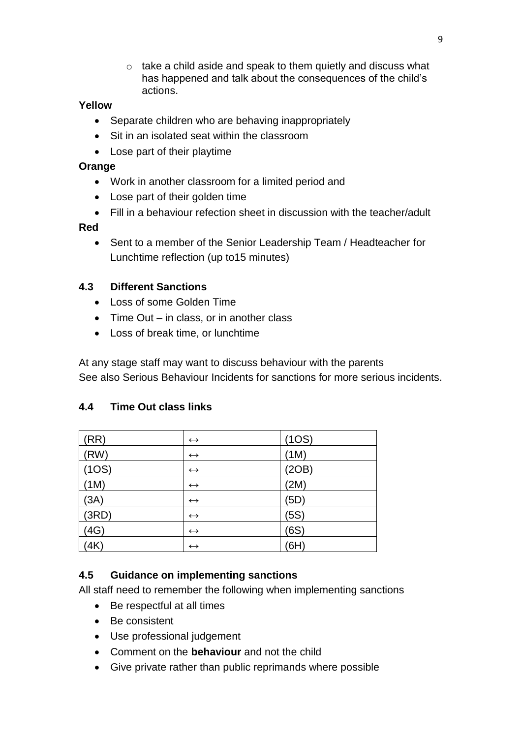o take a child aside and speak to them quietly and discuss what has happened and talk about the consequences of the child's actions.

#### **Yellow**

- Separate children who are behaving inappropriately
- Sit in an isolated seat within the classroom
- Lose part of their playtime

#### **Orange**

- Work in another classroom for a limited period and
- Lose part of their golden time
- Fill in a behaviour refection sheet in discussion with the teacher/adult

#### **Red**

 Sent to a member of the Senior Leadership Team / Headteacher for Lunchtime reflection (up to15 minutes)

# **4.3 Different Sanctions**

- Loss of some Golden Time
- $\bullet$  Time Out in class, or in another class
- Loss of break time, or lunchtime

At any stage staff may want to discuss behaviour with the parents See also Serious Behaviour Incidents for sanctions for more serious incidents.

| (RR)  | $\leftrightarrow$ | (1OS) |
|-------|-------------------|-------|
| (RW)  | $\leftrightarrow$ | (1M)  |
| (1OS) | $\leftrightarrow$ | (2OB) |
| (1M)  | $\leftrightarrow$ | (2M)  |
| (3A)  | $\leftrightarrow$ | (5D)  |
| (3RD) | $\leftrightarrow$ | (5S)  |
| (4G)  | $\leftrightarrow$ | (6S)  |
| (4K)  | $\leftrightarrow$ | (6H)  |

# **4.4 Time Out class links**

# **4.5 Guidance on implementing sanctions**

All staff need to remember the following when implementing sanctions

- Be respectful at all times
- Be consistent
- Use professional judgement
- Comment on the **behaviour** and not the child
- Give private rather than public reprimands where possible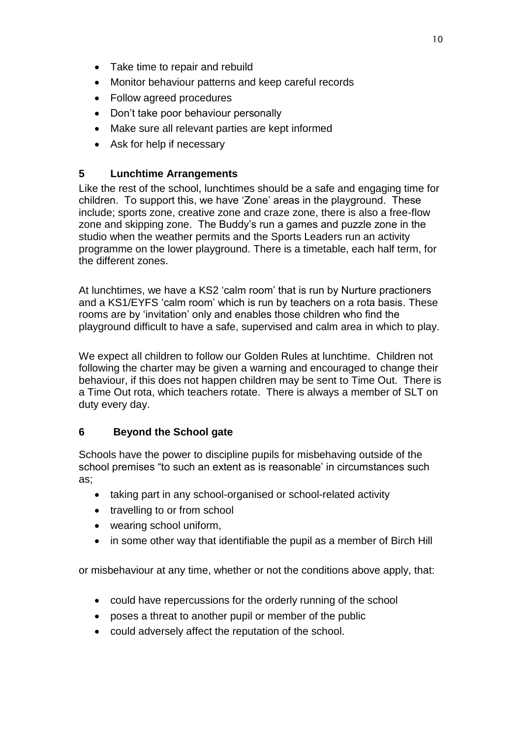- Take time to repair and rebuild
- Monitor behaviour patterns and keep careful records
- Follow agreed procedures
- Don't take poor behaviour personally
- Make sure all relevant parties are kept informed
- Ask for help if necessary

#### **5 Lunchtime Arrangements**

Like the rest of the school, lunchtimes should be a safe and engaging time for children. To support this, we have 'Zone' areas in the playground. These include; sports zone, creative zone and craze zone, there is also a free-flow zone and skipping zone. The Buddy's run a games and puzzle zone in the studio when the weather permits and the Sports Leaders run an activity programme on the lower playground. There is a timetable, each half term, for the different zones.

At lunchtimes, we have a KS2 'calm room' that is run by Nurture practioners and a KS1/EYFS 'calm room' which is run by teachers on a rota basis. These rooms are by 'invitation' only and enables those children who find the playground difficult to have a safe, supervised and calm area in which to play.

We expect all children to follow our Golden Rules at lunchtime. Children not following the charter may be given a warning and encouraged to change their behaviour, if this does not happen children may be sent to Time Out. There is a Time Out rota, which teachers rotate. There is always a member of SLT on duty every day.

#### **6 Beyond the School gate**

Schools have the power to discipline pupils for misbehaving outside of the school premises "to such an extent as is reasonable' in circumstances such as;

- taking part in any school-organised or school-related activity
- travelling to or from school
- wearing school uniform,
- in some other way that identifiable the pupil as a member of Birch Hill

or misbehaviour at any time, whether or not the conditions above apply, that:

- could have repercussions for the orderly running of the school
- poses a threat to another pupil or member of the public
- could adversely affect the reputation of the school.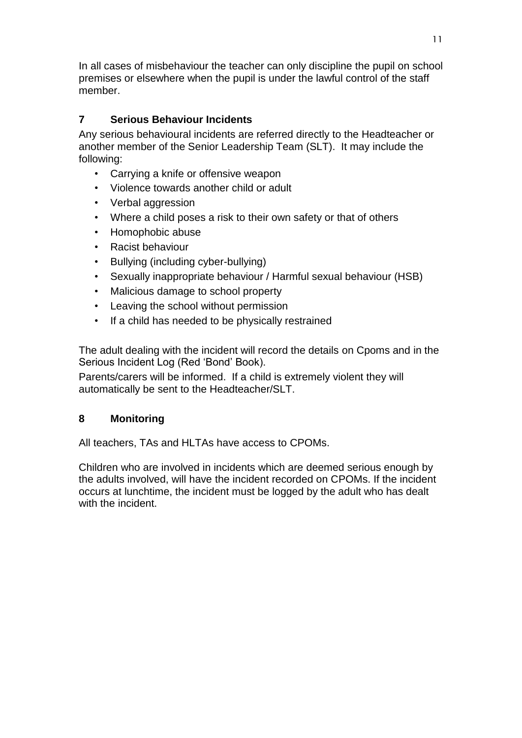In all cases of misbehaviour the teacher can only discipline the pupil on school premises or elsewhere when the pupil is under the lawful control of the staff member.

# **7 Serious Behaviour Incidents**

Any serious behavioural incidents are referred directly to the Headteacher or another member of the Senior Leadership Team (SLT). It may include the following:

- Carrying a knife or offensive weapon
- Violence towards another child or adult
- Verbal aggression
- Where a child poses a risk to their own safety or that of others
- Homophobic abuse
- Racist behaviour
- Bullying (including cyber-bullying)
- Sexually inappropriate behaviour / Harmful sexual behaviour (HSB)
- Malicious damage to school property
- Leaving the school without permission
- If a child has needed to be physically restrained

The adult dealing with the incident will record the details on Cpoms and in the Serious Incident Log (Red 'Bond' Book).

Parents/carers will be informed. If a child is extremely violent they will automatically be sent to the Headteacher/SLT.

#### **8 Monitoring**

All teachers, TAs and HLTAs have access to CPOMs.

Children who are involved in incidents which are deemed serious enough by the adults involved, will have the incident recorded on CPOMs. If the incident occurs at lunchtime, the incident must be logged by the adult who has dealt with the incident.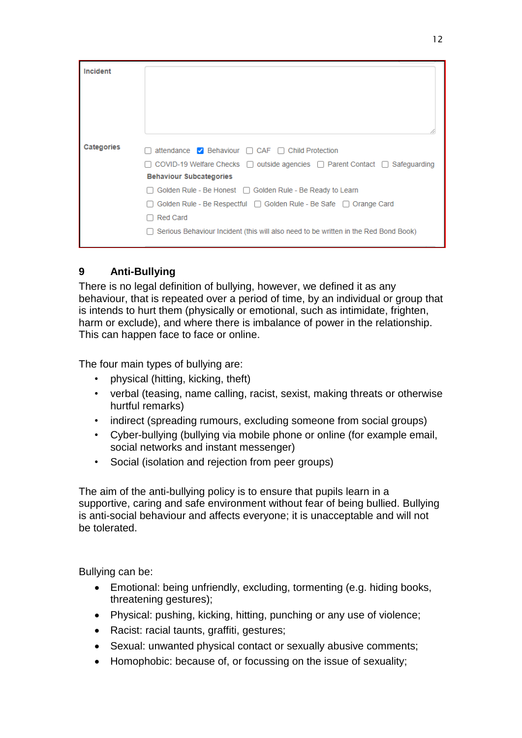| Incident   |                                                                                                  |
|------------|--------------------------------------------------------------------------------------------------|
|            |                                                                                                  |
|            |                                                                                                  |
|            |                                                                                                  |
|            |                                                                                                  |
| Categories | attendance $\vee$ Behaviour $\Box$ CAF $\Box$ Child Protection                                   |
|            | $\Box$ COVID-19 Welfare Checks $\Box$ outside agencies $\Box$ Parent Contact $\Box$ Safeguarding |
|            | <b>Behaviour Subcategories</b>                                                                   |
|            | $\Box$ Golden Rule - Be Honest $\Box$ Golden Rule - Be Ready to Learn                            |
|            | Golden Rule - Be Respectful $\Box$ Golden Rule - Be Safe $\Box$ Orange Card                      |
|            | <b>Red Card</b>                                                                                  |
|            | $\Box$ Serious Behaviour Incident (this will also need to be written in the Red Bond Book)       |
|            |                                                                                                  |

# **9 Anti-Bullying**

There is no legal definition of bullying, however, we defined it as any behaviour, that is repeated over a period of time, by an individual or group that is intends to hurt them (physically or emotional, such as intimidate, frighten, harm or exclude), and where there is imbalance of power in the relationship. This can happen face to face or online.

The four main types of bullying are:

- physical (hitting, kicking, theft)
- verbal (teasing, name calling, racist, sexist, making threats or otherwise hurtful remarks)
- indirect (spreading rumours, excluding someone from social groups)
- Cyber-bullying (bullying via mobile phone or online (for example email, social networks and instant messenger)
- Social (isolation and rejection from peer groups)

The aim of the anti-bullying policy is to ensure that pupils learn in a supportive, caring and safe environment without fear of being bullied. Bullying is anti-social behaviour and affects everyone; it is unacceptable and will not be tolerated.

Bullying can be:

- Emotional: being unfriendly, excluding, tormenting (e.g. hiding books, threatening gestures);
- Physical: pushing, kicking, hitting, punching or any use of violence;
- Racist: racial taunts, graffiti, gestures;
- Sexual: unwanted physical contact or sexually abusive comments;
- Homophobic: because of, or focussing on the issue of sexuality;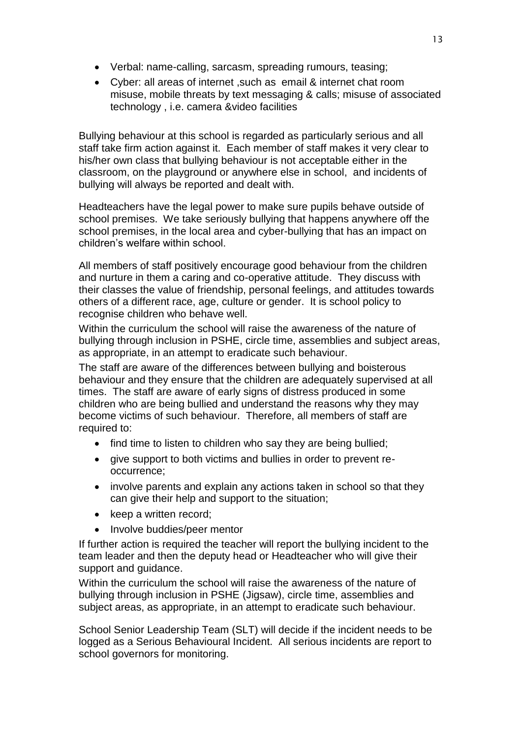- Verbal: name-calling, sarcasm, spreading rumours, teasing;
- Cyber: all areas of internet ,such as email & internet chat room misuse, mobile threats by text messaging & calls; misuse of associated technology , i.e. camera &video facilities

Bullying behaviour at this school is regarded as particularly serious and all staff take firm action against it. Each member of staff makes it very clear to his/her own class that bullying behaviour is not acceptable either in the classroom, on the playground or anywhere else in school, and incidents of bullying will always be reported and dealt with.

Headteachers have the legal power to make sure pupils behave outside of school premises. We take seriously bullying that happens anywhere off the school premises, in the local area and cyber-bullying that has an impact on children's welfare within school.

All members of staff positively encourage good behaviour from the children and nurture in them a caring and co-operative attitude. They discuss with their classes the value of friendship, personal feelings, and attitudes towards others of a different race, age, culture or gender. It is school policy to recognise children who behave well.

Within the curriculum the school will raise the awareness of the nature of bullying through inclusion in PSHE, circle time, assemblies and subject areas, as appropriate, in an attempt to eradicate such behaviour.

The staff are aware of the differences between bullying and boisterous behaviour and they ensure that the children are adequately supervised at all times. The staff are aware of early signs of distress produced in some children who are being bullied and understand the reasons why they may become victims of such behaviour. Therefore, all members of staff are required to:

- find time to listen to children who say they are being bullied;
- give support to both victims and bullies in order to prevent reoccurrence;
- involve parents and explain any actions taken in school so that they can give their help and support to the situation;
- keep a written record;
- Involve buddies/peer mentor

If further action is required the teacher will report the bullying incident to the team leader and then the deputy head or Headteacher who will give their support and guidance.

Within the curriculum the school will raise the awareness of the nature of bullying through inclusion in PSHE (Jigsaw), circle time, assemblies and subject areas, as appropriate, in an attempt to eradicate such behaviour.

School Senior Leadership Team (SLT) will decide if the incident needs to be logged as a Serious Behavioural Incident. All serious incidents are report to school governors for monitoring.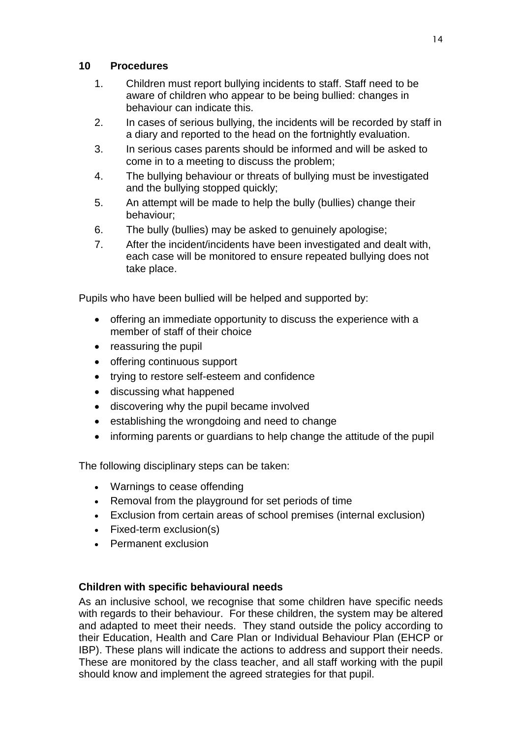#### **10 Procedures**

- 1. Children must report bullying incidents to staff. Staff need to be aware of children who appear to be being bullied: changes in behaviour can indicate this.
- 2. In cases of serious bullying, the incidents will be recorded by staff in a diary and reported to the head on the fortnightly evaluation.
- 3. In serious cases parents should be informed and will be asked to come in to a meeting to discuss the problem;
- 4. The bullying behaviour or threats of bullying must be investigated and the bullying stopped quickly;
- 5. An attempt will be made to help the bully (bullies) change their behaviour;
- 6. The bully (bullies) may be asked to genuinely apologise;
- 7. After the incident/incidents have been investigated and dealt with, each case will be monitored to ensure repeated bullying does not take place.

Pupils who have been bullied will be helped and supported by:

- offering an immediate opportunity to discuss the experience with a member of staff of their choice
- reassuring the pupil
- offering continuous support
- trying to restore self-esteem and confidence
- discussing what happened
- discovering why the pupil became involved
- establishing the wrongdoing and need to change
- informing parents or guardians to help change the attitude of the pupil

The following disciplinary steps can be taken:

- Warnings to cease offending
- Removal from the playground for set periods of time
- Exclusion from certain areas of school premises (internal exclusion)
- Fixed-term exclusion(s)
- Permanent exclusion

# **Children with specific behavioural needs**

As an inclusive school, we recognise that some children have specific needs with regards to their behaviour. For these children, the system may be altered and adapted to meet their needs. They stand outside the policy according to their Education, Health and Care Plan or Individual Behaviour Plan (EHCP or IBP). These plans will indicate the actions to address and support their needs. These are monitored by the class teacher, and all staff working with the pupil should know and implement the agreed strategies for that pupil.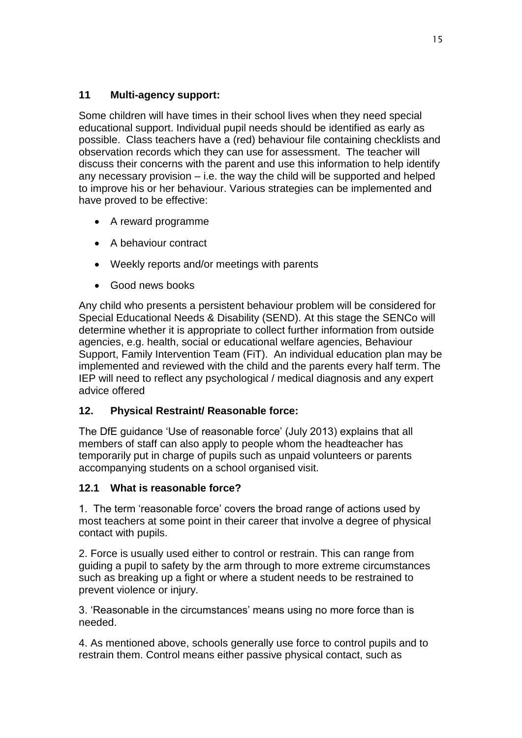# **11 Multi-agency support:**

Some children will have times in their school lives when they need special educational support. Individual pupil needs should be identified as early as possible. Class teachers have a (red) behaviour file containing checklists and observation records which they can use for assessment. The teacher will discuss their concerns with the parent and use this information to help identify any necessary provision – i.e. the way the child will be supported and helped to improve his or her behaviour. Various strategies can be implemented and have proved to be effective:

- A reward programme
- A behaviour contract
- Weekly reports and/or meetings with parents
- Good news books

Any child who presents a persistent behaviour problem will be considered for Special Educational Needs & Disability (SEND). At this stage the SENCo will determine whether it is appropriate to collect further information from outside agencies, e.g. health, social or educational welfare agencies, Behaviour Support, Family Intervention Team (FiT). An individual education plan may be implemented and reviewed with the child and the parents every half term. The IEP will need to reflect any psychological / medical diagnosis and any expert advice offered

#### **12. Physical Restraint/ Reasonable force:**

The DfE guidance 'Use of reasonable force' (July 2013) explains that all members of staff can also apply to people whom the headteacher has temporarily put in charge of pupils such as unpaid volunteers or parents accompanying students on a school organised visit.

#### **12.1 What is reasonable force?**

1. The term 'reasonable force' covers the broad range of actions used by most teachers at some point in their career that involve a degree of physical contact with pupils.

2. Force is usually used either to control or restrain. This can range from guiding a pupil to safety by the arm through to more extreme circumstances such as breaking up a fight or where a student needs to be restrained to prevent violence or injury.

3. 'Reasonable in the circumstances' means using no more force than is needed.

4. As mentioned above, schools generally use force to control pupils and to restrain them. Control means either passive physical contact, such as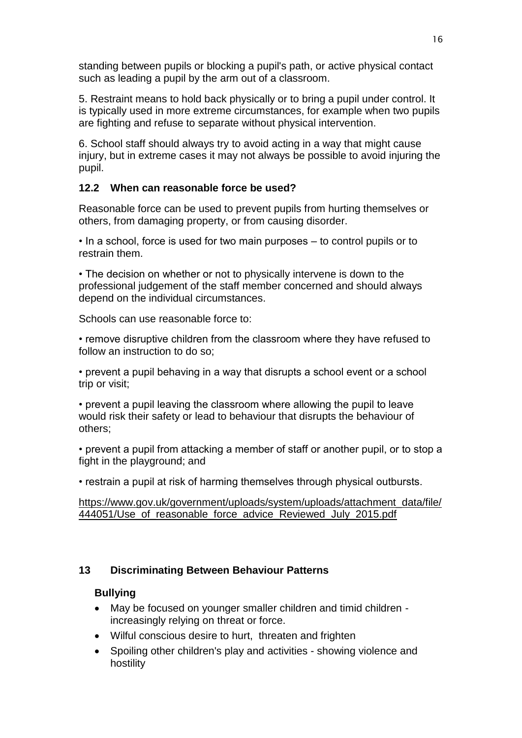standing between pupils or blocking a pupil's path, or active physical contact such as leading a pupil by the arm out of a classroom.

5. Restraint means to hold back physically or to bring a pupil under control. It is typically used in more extreme circumstances, for example when two pupils are fighting and refuse to separate without physical intervention.

6. School staff should always try to avoid acting in a way that might cause injury, but in extreme cases it may not always be possible to avoid injuring the pupil.

#### **12.2 When can reasonable force be used?**

Reasonable force can be used to prevent pupils from hurting themselves or others, from damaging property, or from causing disorder.

• In a school, force is used for two main purposes – to control pupils or to restrain them.

• The decision on whether or not to physically intervene is down to the professional judgement of the staff member concerned and should always depend on the individual circumstances.

Schools can use reasonable force to:

• remove disruptive children from the classroom where they have refused to follow an instruction to do so;

• prevent a pupil behaving in a way that disrupts a school event or a school trip or visit;

• prevent a pupil leaving the classroom where allowing the pupil to leave would risk their safety or lead to behaviour that disrupts the behaviour of others;

• prevent a pupil from attacking a member of staff or another pupil, or to stop a fight in the playground; and

• restrain a pupil at risk of harming themselves through physical outbursts.

#### [https://www.gov.uk/government/uploads/system/uploads/attachment\\_data/file/](https://www.gov.uk/government/uploads/system/uploads/attachment_data/file/444051/Use_of_reasonable_force_advice_Reviewed_July_2015.pdf) [444051/Use\\_of\\_reasonable\\_force\\_advice\\_Reviewed\\_July\\_2015.pdf](https://www.gov.uk/government/uploads/system/uploads/attachment_data/file/444051/Use_of_reasonable_force_advice_Reviewed_July_2015.pdf)

#### **13 Discriminating Between Behaviour Patterns**

#### **Bullying**

- May be focused on younger smaller children and timid children increasingly relying on threat or force.
- Wilful conscious desire to hurt, threaten and frighten
- Spoiling other children's play and activities showing violence and hostility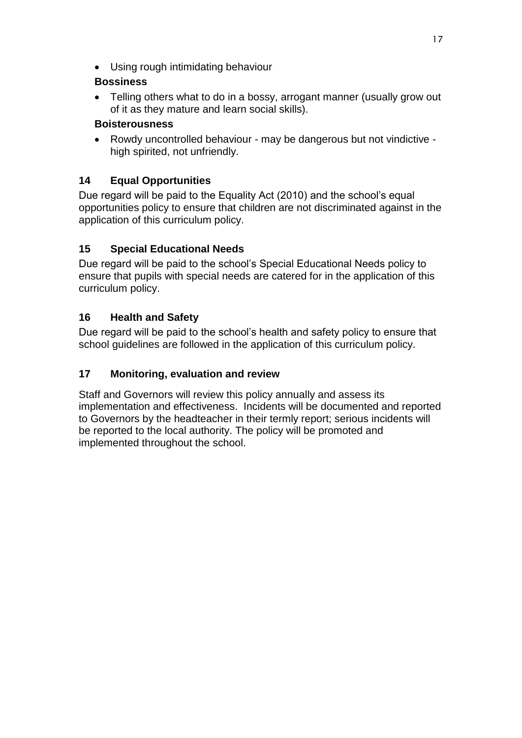Using rough intimidating behaviour

#### **Bossiness**

• Telling others what to do in a bossy, arrogant manner (usually grow out of it as they mature and learn social skills).

#### **Boisterousness**

 Rowdy uncontrolled behaviour - may be dangerous but not vindictive high spirited, not unfriendly.

# **14 Equal Opportunities**

Due regard will be paid to the Equality Act (2010) and the school's equal opportunities policy to ensure that children are not discriminated against in the application of this curriculum policy.

# **15 Special Educational Needs**

Due regard will be paid to the school's Special Educational Needs policy to ensure that pupils with special needs are catered for in the application of this curriculum policy.

# **16 Health and Safety**

Due regard will be paid to the school's health and safety policy to ensure that school guidelines are followed in the application of this curriculum policy.

# **17 Monitoring, evaluation and review**

Staff and Governors will review this policy annually and assess its implementation and effectiveness. Incidents will be documented and reported to Governors by the headteacher in their termly report; serious incidents will be reported to the local authority. The policy will be promoted and implemented throughout the school.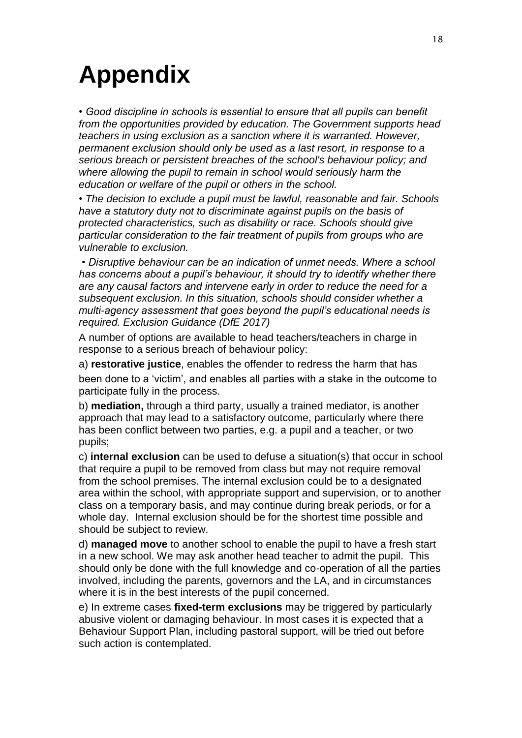# **Appendix**

*• Good discipline in schools is essential to ensure that all pupils can benefit from the opportunities provided by education. The Government supports head teachers in using exclusion as a sanction where it is warranted. However, permanent exclusion should only be used as a last resort, in response to a serious breach or persistent breaches of the school's behaviour policy; and where allowing the pupil to remain in school would seriously harm the education or welfare of the pupil or others in the school.* 

*• The decision to exclude a pupil must be lawful, reasonable and fair. Schools have a statutory duty not to discriminate against pupils on the basis of protected characteristics, such as disability or race. Schools should give particular consideration to the fair treatment of pupils from groups who are vulnerable to exclusion.*

*• Disruptive behaviour can be an indication of unmet needs. Where a school has concerns about a pupil's behaviour, it should try to identify whether there are any causal factors and intervene early in order to reduce the need for a subsequent exclusion. In this situation, schools should consider whether a multi-agency assessment that goes beyond the pupil's educational needs is required. Exclusion Guidance (DfE 2017)*

A number of options are available to head teachers/teachers in charge in response to a serious breach of behaviour policy:

a) **restorative justice**, enables the offender to redress the harm that has been done to a 'victim', and enables all parties with a stake in the outcome to participate fully in the process.

b) **mediation,** through a third party, usually a trained mediator, is another approach that may lead to a satisfactory outcome, particularly where there has been conflict between two parties, e.g. a pupil and a teacher, or two pupils;

c) **internal exclusion** can be used to defuse a situation(s) that occur in school that require a pupil to be removed from class but may not require removal from the school premises. The internal exclusion could be to a designated area within the school, with appropriate support and supervision, or to another class on a temporary basis, and may continue during break periods, or for a whole day. Internal exclusion should be for the shortest time possible and should be subject to review.

d) **managed move** to another school to enable the pupil to have a fresh start in a new school. We may ask another head teacher to admit the pupil. This should only be done with the full knowledge and co-operation of all the parties involved, including the parents, governors and the LA, and in circumstances where it is in the best interests of the pupil concerned.

e) In extreme cases **fixed-term exclusions** may be triggered by particularly abusive violent or damaging behaviour. In most cases it is expected that a Behaviour Support Plan, including pastoral support, will be tried out before such action is contemplated.